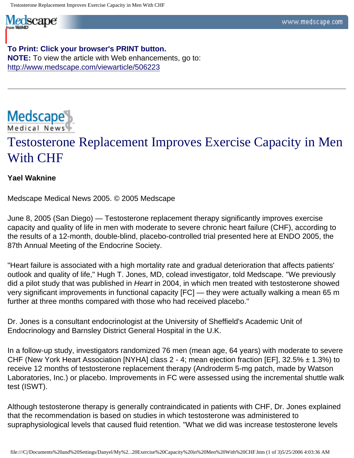Medscape

## **To Print: Click your browser's PRINT button. NOTE:** To view the article with Web enhancements, go to: <http://www.medscape.com/viewarticle/506223>



## Testosterone Replacement Improves Exercise Capacity in Men With CHF

## **Yael Waknine**

Medscape Medical News 2005. © 2005 Medscape

June 8, 2005 (San Diego) — Testosterone replacement therapy significantly improves exercise capacity and quality of life in men with moderate to severe chronic heart failure (CHF), according to the results of a 12-month, double-blind, placebo-controlled trial presented here at ENDO 2005, the 87th Annual Meeting of the Endocrine Society.

"Heart failure is associated with a high mortality rate and gradual deterioration that affects patients' outlook and quality of life," Hugh T. Jones, MD, colead investigator, told Medscape. "We previously did a pilot study that was published in *Heart* in 2004, in which men treated with testosterone showed very significant improvements in functional capacity [FC] — they were actually walking a mean 65 m further at three months compared with those who had received placebo.''

Dr. Jones is a consultant endocrinologist at the University of Sheffield's Academic Unit of Endocrinology and Barnsley District General Hospital in the U.K.

In a follow-up study, investigators randomized 76 men (mean age, 64 years) with moderate to severe CHF (New York Heart Association [NYHA] class 2 - 4; mean ejection fraction [EF], 32.5% ± 1.3%) to receive 12 months of testosterone replacement therapy (Androderm 5-mg patch, made by Watson Laboratories, Inc.) or placebo. Improvements in FC were assessed using the incremental shuttle walk test (ISWT).

Although testosterone therapy is generally contraindicated in patients with CHF, Dr. Jones explained that the recommendation is based on studies in which testosterone was administered to supraphysiological levels that caused fluid retention. "What we did was increase testosterone levels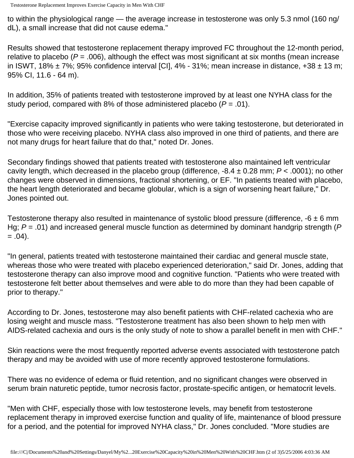to within the physiological range — the average increase in testosterone was only 5.3 nmol (160 ng/ dL), a small increase that did not cause edema."

Results showed that testosterone replacement therapy improved FC throughout the 12-month period, relative to placebo ( $P = .006$ ), although the effect was most significant at six months (mean increase in ISWT, 18%  $\pm$  7%; 95% confidence interval [CI], 4% - 31%; mean increase in distance, +38  $\pm$  13 m; 95% CI, 11.6 - 64 m).

In addition, 35% of patients treated with testosterone improved by at least one NYHA class for the study period, compared with 8% of those administered placebo (*P* = .01).

"Exercise capacity improved significantly in patients who were taking testosterone, but deteriorated in those who were receiving placebo. NYHA class also improved in one third of patients, and there are not many drugs for heart failure that do that," noted Dr. Jones.

Secondary findings showed that patients treated with testosterone also maintained left ventricular cavity length, which decreased in the placebo group (difference, -8.4 ± 0.28 mm; *P* < .0001); no other changes were observed in dimensions, fractional shortening, or EF. "In patients treated with placebo, the heart length deteriorated and became globular, which is a sign of worsening heart failure," Dr. Jones pointed out.

Testosterone therapy also resulted in maintenance of systolic blood pressure (difference,  $-6 \pm 6$  mm Hg; *P* = .01) and increased general muscle function as determined by dominant handgrip strength (*P*  $= .04$ ).

"In general, patients treated with testosterone maintained their cardiac and general muscle state, whereas those who were treated with placebo experienced deterioration," said Dr. Jones, adding that testosterone therapy can also improve mood and cognitive function. "Patients who were treated with testosterone felt better about themselves and were able to do more than they had been capable of prior to therapy."

According to Dr. Jones, testosterone may also benefit patients with CHF-related cachexia who are losing weight and muscle mass. "Testosterone treatment has also been shown to help men with AIDS-related cachexia and ours is the only study of note to show a parallel benefit in men with CHF."

Skin reactions were the most frequently reported adverse events associated with testosterone patch therapy and may be avoided with use of more recently approved testosterone formulations.

There was no evidence of edema or fluid retention, and no significant changes were observed in serum brain naturetic peptide, tumor necrosis factor, prostate-specific antigen, or hematocrit levels.

"Men with CHF, especially those with low testosterone levels, may benefit from testosterone replacement therapy in improved exercise function and quality of life, maintenance of blood pressure for a period, and the potential for improved NYHA class," Dr. Jones concluded. "More studies are